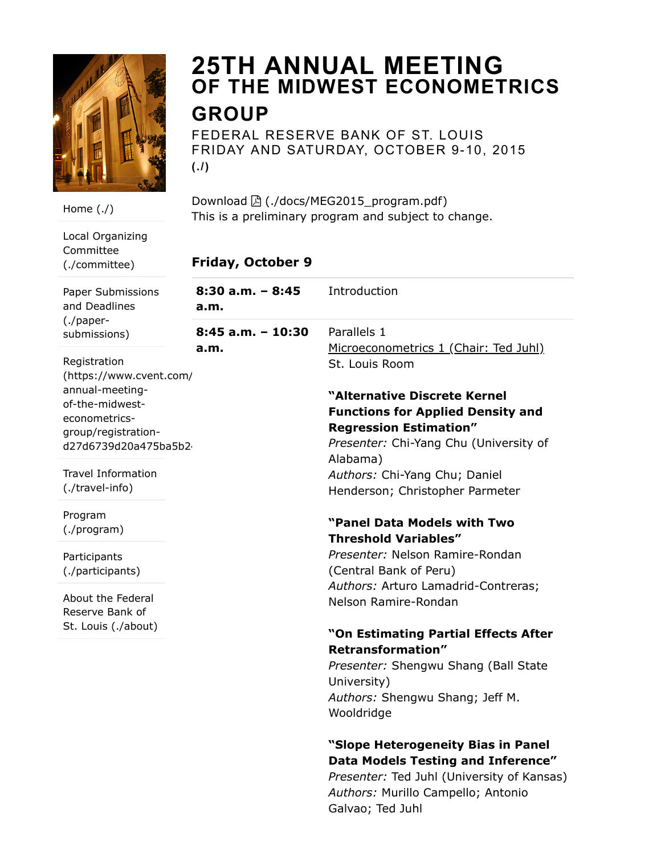

# 25TH ANNUAL MEETING OF THE MIDWEST [ECONOMETRICS](https://research.stlouisfed.org/conferences/MEG2015/) GROUP

FEDERAL RESERVE BANK OF ST. LOUIS FRIDAY AND SATURDAY, OCTOBER 9-10, 2015  $($ . $/$ )

Download  $\boxed{2}$  [\(./docs/MEG2015\\_program.pdf\)](https://research.stlouisfed.org/conferences/MEG2015/docs/MEG2015_program.pdf) This is a preliminary program and subject to change.

## Friday, October 9

| วทร       | 8:30 a.m. - 8:45<br>a.m.    | Introduction                                                              |
|-----------|-----------------------------|---------------------------------------------------------------------------|
|           | $8:45$ a.m. - 10:30<br>a.m. | Parallels 1<br>Microeconometrics 1 (Chair: Ted Juhl)                      |
| /ent.com/ |                             | St. Louis Room                                                            |
|           |                             | "Alternative Discrete Kernel                                              |
| on-       |                             | <b>Functions for Applied Density and</b><br><b>Regression Estimation"</b> |
| I75ba5b2  |                             | Presenter: Chi-Yang Chu (University of<br>Alabama)                        |
| on        |                             | Authors: Chi-Yang Chu; Daniel<br>Henderson; Christopher Parmeter          |
|           |                             | "Panel Data Models with Two                                               |
|           |                             | <b>Threshold Variables"</b>                                               |
|           |                             | Presenter: Nelson Ramire-Rondan<br>(Central Bank of Peru)                 |
| al        |                             | Authors: Arturo Lamadrid-Contreras;<br>Nelson Ramire-Rondan               |
| ut)       |                             |                                                                           |
|           |                             | "On Estimating Partial Effects After<br><b>Retransformation"</b>          |
|           |                             | Presenter: Shengwu Shang (Ball State<br>University)                       |
|           |                             | Authors: Shengwu Shang; Jeff M.<br>Wooldridge                             |
|           |                             | "Slope Heterogeneity Bias in Panel                                        |
|           |                             | Data Models Testing and Inference"                                        |
|           |                             | Presenter: Ted Juhl (University of Kansas)                                |

Authors: Murillo Campello; Antonio

Galvao; Ted Juhl

Local Organizing Committee [\(./committee\)](https://research.stlouisfed.org/conferences/MEG2015/committee)

[Home](https://research.stlouisfed.org/conferences/MEG2015/) (./)

Paper Submissio and Deadlines (./paper[submissions\)](https://research.stlouisfed.org/conferences/MEG2015/paper-submissions)

Registration (https://www.cv annual-meetingof-the-midwesteconometricsgroup/registratio d27d6739d20a4

Travel Informatio [\(./travel-info\)](https://research.stlouisfed.org/conferences/MEG2015/travel-info)

Program [\(./program\)](https://research.stlouisfed.org/conferences/MEG2015/program)

Participants [\(./participants\)](https://research.stlouisfed.org/conferences/MEG2015/participants)

About the Federa Reserve Bank of St. Louis (./about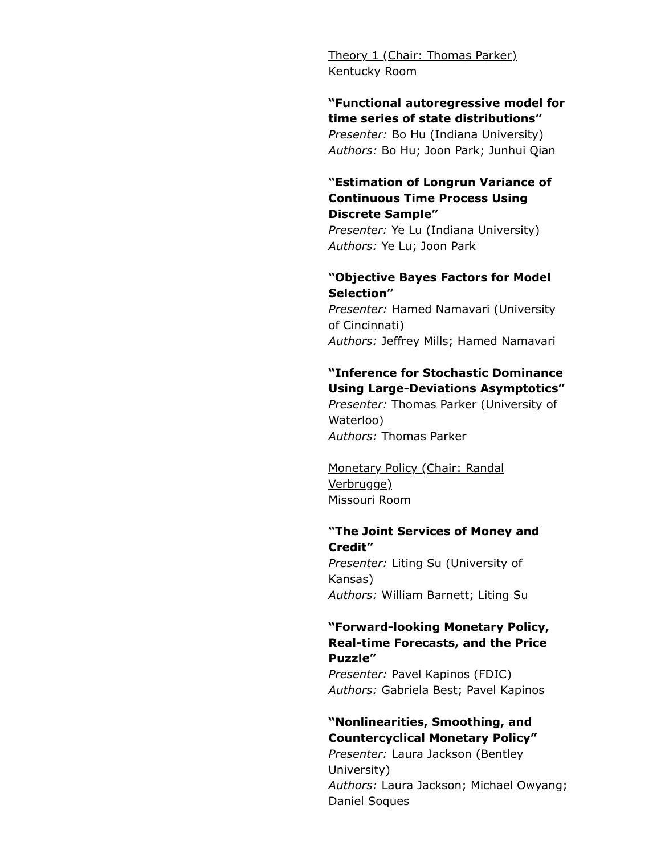Theory 1 (Chair: Thomas Parker) Kentucky Room

#### "Functional autoregressive model for time series of state distributions"

Presenter: Bo Hu (Indiana University) Authors: Bo Hu; Joon Park; Junhui Qian

#### "Estimation of Longrun Variance of Continuous Time Process Using Discrete Sample"

Presenter: Ye Lu (Indiana University) Authors: Ye Lu; Joon Park

#### "Objective Bayes Factors for Model Selection"

Presenter: Hamed Namavari (University of Cincinnati) Authors: Jeffrey Mills; Hamed Namavari

#### "Inference for Stochastic Dominance Using Large-Deviations Asymptotics"

Presenter: Thomas Parker (University of Waterloo) Authors: Thomas Parker

Monetary Policy (Chair: Randal Verbrugge) Missouri Room

#### "The Joint Services of Money and Credit"

Presenter: Liting Su (University of Kansas) Authors: William Barnett; Liting Su

#### "Forward-looking Monetary Policy, Real-time Forecasts, and the Price Puzzle"

Presenter: Pavel Kapinos (FDIC) Authors: Gabriela Best; Pavel Kapinos

## "Nonlinearities, Smoothing, and Countercyclical Monetary Policy"

Presenter: Laura Jackson (Bentley University) Authors: Laura Jackson; Michael Owyang; Daniel Soques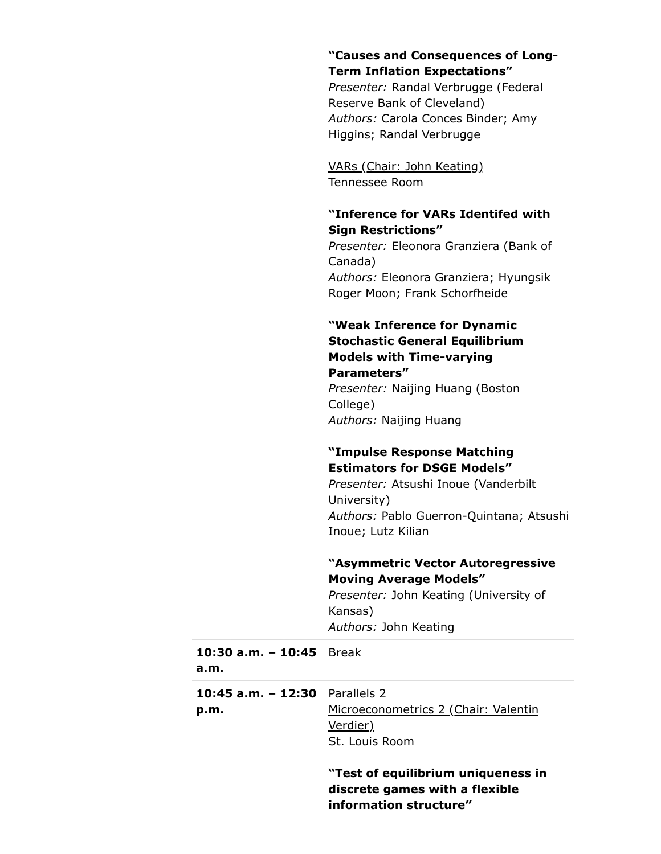#### "Causes and Consequences of Long-Term Inflation Expectations"

Presenter: Randal Verbrugge (Federal Reserve Bank of Cleveland) Authors: Carola Conces Binder; Amy Higgins; Randal Verbrugge

VARs (Chair: John Keating) Tennessee Room

#### "Inference for VARs Identifed with Sign Restrictions"

Presenter: Eleonora Granziera (Bank of Canada) Authors: Eleonora Granziera; Hyungsik Roger Moon; Frank Schorfheide

### "Weak Inference for Dynamic Stochastic General Equilibrium Models with Time-varying Parameters"

Presenter: Naijing Huang (Boston College) Authors: Naijing Huang

## "Impulse Response Matching Estimators for DSGE Models"

Presenter: Atsushi Inoue (Vanderbilt University) Authors: Pablo Guerron-Quintana; Atsushi Inoue; Lutz Kilian

## "Asymmetric Vector Autoregressive Moving Average Models"

Presenter: John Keating (University of Kansas) Authors: John Keating

| 10:30 $a.m. - 10:45$ Break<br>a.m.     |                                                                      |
|----------------------------------------|----------------------------------------------------------------------|
| 10:45 a.m. - 12:30 Parallels 2<br>p.m. | Microeconometrics 2 (Chair: Valentin<br>Verdier)<br>St. Louis Room   |
|                                        | "Test of equilibrium uniqueness in<br>discrete games with a flexible |

information structure"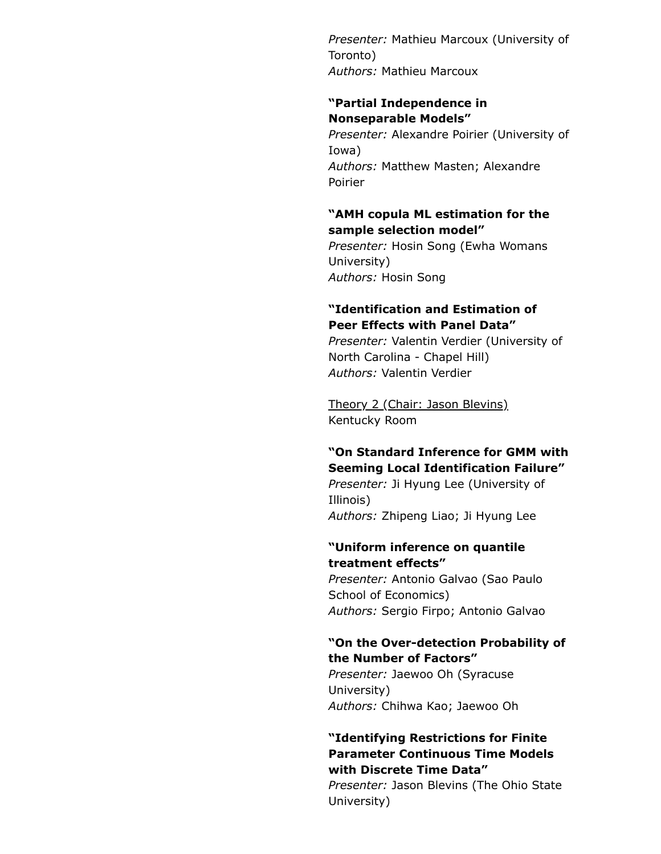Presenter: Mathieu Marcoux (University of Toronto) Authors: Mathieu Marcoux

#### "Partial Independence in Nonseparable Models"

Presenter: Alexandre Poirier (University of Iowa) Authors: Matthew Masten; Alexandre Poirier

## "AMH copula ML estimation for the sample selection model"

Presenter: Hosin Song (Ewha Womans University) Authors: Hosin Song

## "Identification and Estimation of Peer Effects with Panel Data"

Presenter: Valentin Verdier (University of North Carolina - Chapel Hill) Authors: Valentin Verdier

Theory 2 (Chair: Jason Blevins) Kentucky Room

## "On Standard Inference for GMM with Seeming Local Identification Failure"

Presenter: Ji Hyung Lee (University of Illinois) Authors: Zhipeng Liao; Ji Hyung Lee

## "Uniform inference on quantile treatment effects"

Presenter: Antonio Galvao (Sao Paulo School of Economics) Authors: Sergio Firpo; Antonio Galvao

## "On the Over-detection Probability of the Number of Factors"

Presenter: Jaewoo Oh (Syracuse University) Authors: Chihwa Kao; Jaewoo Oh

## "Identifying Restrictions for Finite Parameter Continuous Time Models with Discrete Time Data"

Presenter: Jason Blevins (The Ohio State University)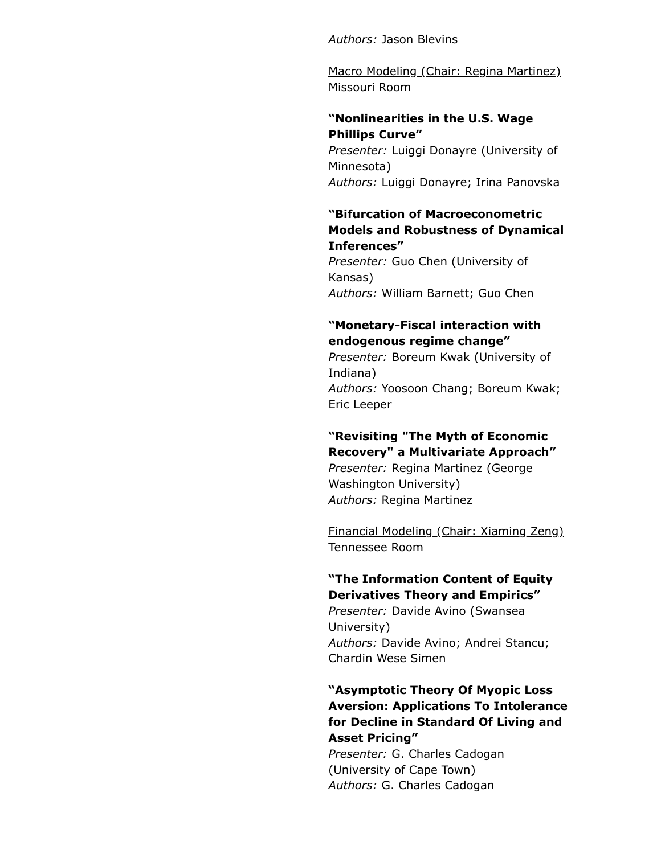Authors: Jason Blevins

Macro Modeling (Chair: Regina Martinez) Missouri Room

## "Nonlinearities in the U.S. Wage Phillips Curve"

Presenter: Luiggi Donayre (University of Minnesota) Authors: Luiggi Donayre; Irina Panovska

#### "Bifurcation of Macroeconometric Models and Robustness of Dynamical Inferences"

Presenter: Guo Chen (University of Kansas) Authors: William Barnett; Guo Chen

## "Monetary-Fiscal interaction with endogenous regime change"

Presenter: Boreum Kwak (University of Indiana) Authors: Yoosoon Chang; Boreum Kwak; Eric Leeper

## "Revisiting "The Myth of Economic Recovery" a Multivariate Approach"

Presenter: Regina Martinez (George Washington University) Authors: Regina Martinez

Financial Modeling (Chair: Xiaming Zeng) Tennessee Room

## "The Information Content of Equity Derivatives Theory and Empirics"

Presenter: Davide Avino (Swansea University) Authors: Davide Avino; Andrei Stancu; Chardin Wese Simen

## "Asymptotic Theory Of Myopic Loss Aversion: Applications To Intolerance for Decline in Standard Of Living and Asset Pricing"

Presenter: G. Charles Cadogan (University of Cape Town) Authors: G. Charles Cadogan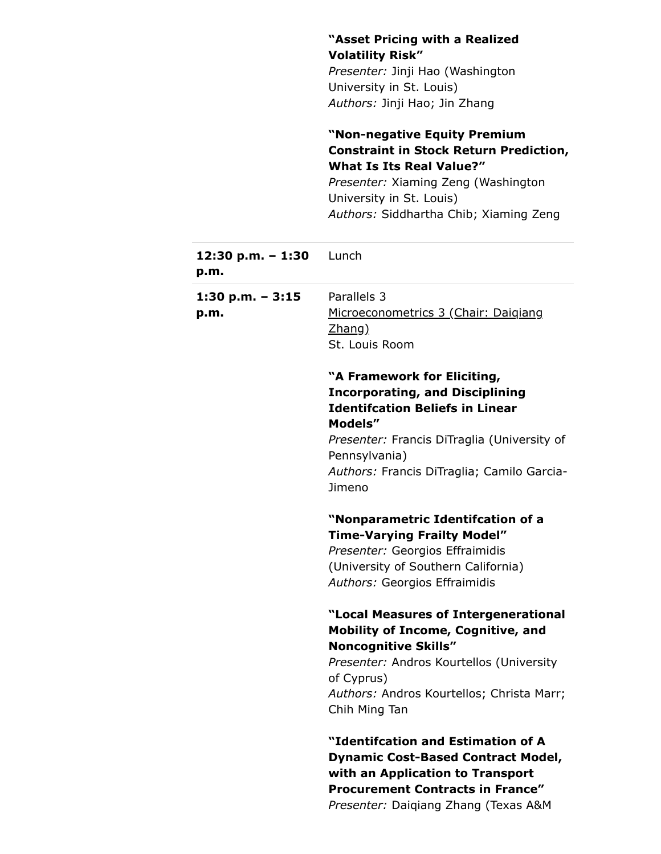|                         | "Asset Pricing with a Realized                                                |
|-------------------------|-------------------------------------------------------------------------------|
|                         | <b>Volatility Risk"</b>                                                       |
|                         | Presenter: Jinji Hao (Washington                                              |
|                         | University in St. Louis)                                                      |
|                         | Authors: Jinji Hao; Jin Zhang                                                 |
|                         | "Non-negative Equity Premium<br><b>Constraint in Stock Return Prediction,</b> |
|                         | <b>What Is Its Real Value?"</b>                                               |
|                         | Presenter: Xiaming Zeng (Washington                                           |
|                         | University in St. Louis)                                                      |
|                         | Authors: Siddhartha Chib; Xiaming Zeng                                        |
| 12:30 p.m. - 1:30 Lunch |                                                                               |
| p.m.                    |                                                                               |
| 1:30 p.m. $-3:15$       | Parallels 3                                                                   |
| p.m.                    | Microeconometrics 3 (Chair: Daigiang                                          |
|                         | <u>Zhang)</u>                                                                 |
|                         | St. Louis Room                                                                |
|                         | "A Framework for Eliciting,                                                   |
|                         | <b>Incorporating, and Disciplining</b>                                        |
|                         | <b>Identifcation Beliefs in Linear</b>                                        |
|                         | Models"                                                                       |
|                         | Presenter: Francis DiTraglia (University of                                   |
|                         | Pennsylvania)                                                                 |
|                         | Authors: Francis DiTraglia; Camilo Garcia-                                    |
|                         | Jimeno                                                                        |
|                         | "Nonparametric Identifcation of a                                             |
|                         | <b>Time-Varying Frailty Model"</b>                                            |
|                         | Presenter: Georgios Effraimidis                                               |
|                         | (University of Southern California)                                           |
|                         | Authors: Georgios Effraimidis                                                 |
|                         | "Local Measures of Intergenerational                                          |
|                         | <b>Mobility of Income, Cognitive, and</b>                                     |
|                         | <b>Noncognitive Skills"</b>                                                   |
|                         | Presenter: Andros Kourtellos (University                                      |
|                         | of Cyprus)                                                                    |
|                         | Authors: Andros Kourtellos; Christa Marr;                                     |
|                         | Chih Ming Tan                                                                 |
|                         | "Identifcation and Estimation of A                                            |
|                         | <b>Dynamic Cost-Based Contract Model,</b>                                     |
|                         | with an Application to Transport                                              |
|                         | <b>Procurement Contracts in France"</b>                                       |
|                         | Presenter: Daiqiang Zhang (Texas A&M                                          |

 $\sim$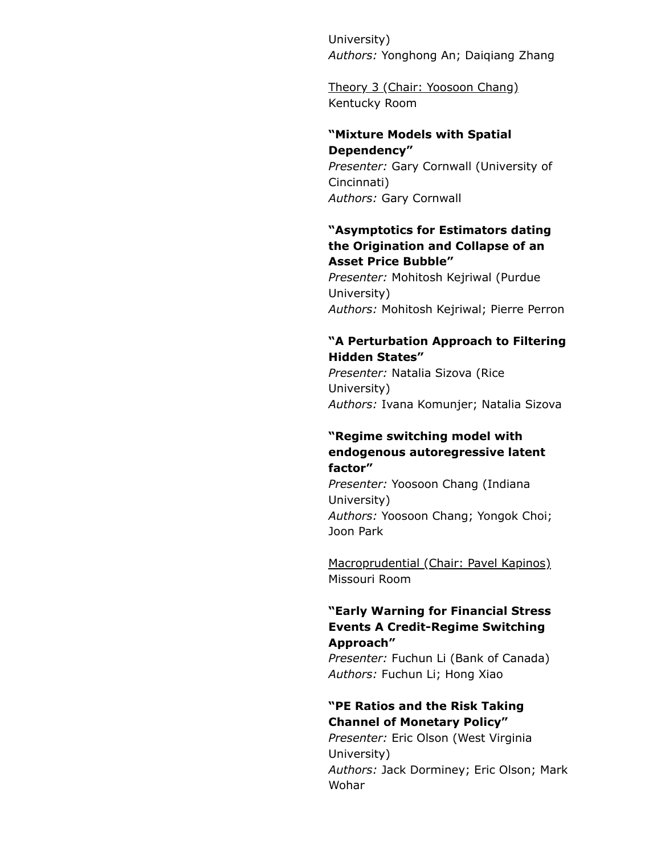University) Authors: Yonghong An; Daiqiang Zhang

Theory 3 (Chair: Yoosoon Chang) Kentucky Room

#### "Mixture Models with Spatial Dependency"

Presenter: Gary Cornwall (University of Cincinnati) Authors: Gary Cornwall

## "Asymptotics for Estimators dating the Origination and Collapse of an Asset Price Bubble"

Presenter: Mohitosh Kejriwal (Purdue University) Authors: Mohitosh Kejriwal; Pierre Perron

#### "A Perturbation Approach to Filtering Hidden States"

Presenter: Natalia Sizova (Rice University) Authors: Ivana Komunjer; Natalia Sizova

## "Regime switching model with endogenous autoregressive latent factor"

Presenter: Yoosoon Chang (Indiana University) Authors: Yoosoon Chang; Yongok Choi; Joon Park

Macroprudential (Chair: Pavel Kapinos) Missouri Room

#### "Early Warning for Financial Stress Events A Credit-Regime Switching Approach"

Presenter: Fuchun Li (Bank of Canada) Authors: Fuchun Li; Hong Xiao

## "PE Ratios and the Risk Taking Channel of Monetary Policy"

Presenter: Eric Olson (West Virginia University) Authors: Jack Dorminey; Eric Olson; Mark Wohar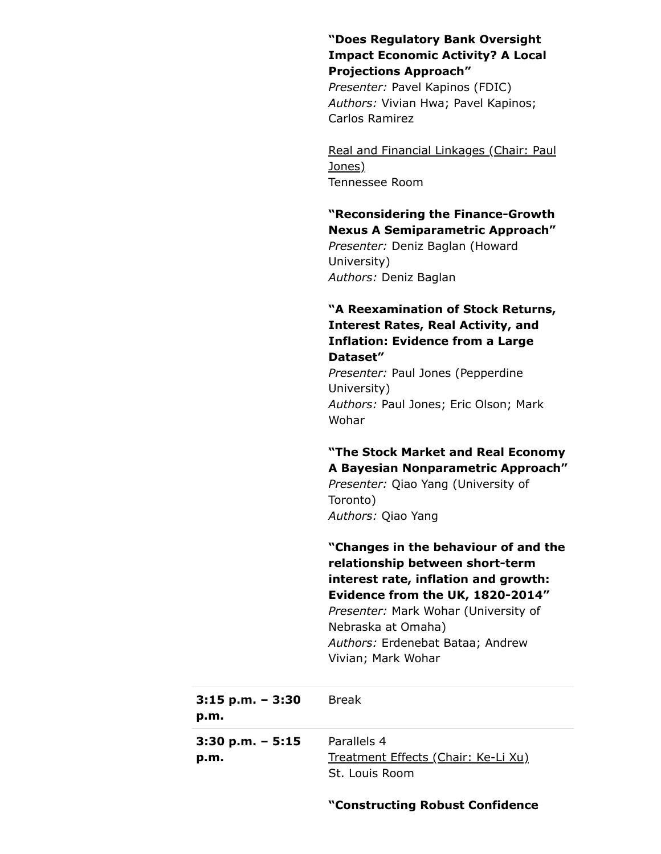## "Does Regulatory Bank Oversight Impact Economic Activity? A Local Projections Approach"

Presenter: Pavel Kapinos (FDIC) Authors: Vivian Hwa; Pavel Kapinos; Carlos Ramirez

Real and Financial Linkages (Chair: Paul Jones) Tennessee Room

## "Reconsidering the Finance-Growth Nexus A Semiparametric Approach"

Presenter: Deniz Baglan (Howard University) Authors: Deniz Baglan

## "A Reexamination of Stock Returns, Interest Rates, Real Activity, and Inflation: Evidence from a Large Dataset"

Presenter: Paul Jones (Pepperdine University) Authors: Paul Jones; Eric Olson; Mark Wohar

## "The Stock Market and Real Economy A Bayesian Nonparametric Approach"

Presenter: Qiao Yang (University of Toronto) Authors: Qiao Yang

"Changes in the behaviour of and the relationship between short-term interest rate, inflation and growth: Evidence from the UK, 1820-2014" Presenter: Mark Wohar (University of Nebraska at Omaha) Authors: Erdenebat Bataa; Andrew Vivian; Mark Wohar 3:15 p.m. – 3:30 Break 3:30 p.m. – 5:15 Parallels 4

| Treatment Effects (Chair: Ke-Li Xu) |  |  |
|-------------------------------------|--|--|
| St. Louis Room                      |  |  |

p.m.

p.m.

## "Constructing Robust Confidence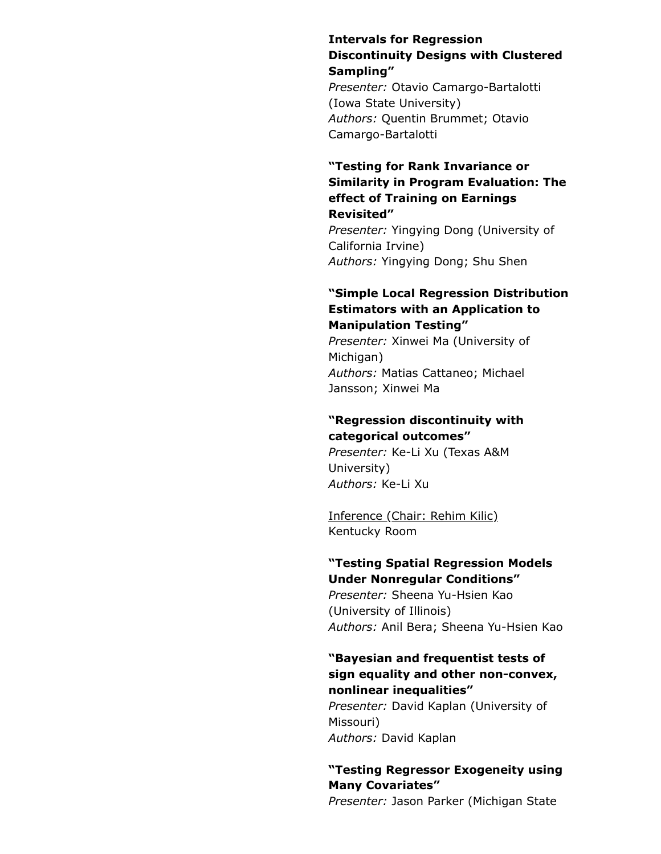## Intervals for Regression Discontinuity Designs with Clustered Sampling"

Presenter: Otavio Camargo-Bartalotti (Iowa State University) Authors: Quentin Brummet; Otavio Camargo-Bartalotti

## "Testing for Rank Invariance or Similarity in Program Evaluation: The effect of Training on Earnings Revisited"

Presenter: Yingying Dong (University of California Irvine) Authors: Yingying Dong; Shu Shen

#### "Simple Local Regression Distribution Estimators with an Application to Manipulation Testing"

Presenter: Xinwei Ma (University of Michigan) Authors: Matias Cattaneo; Michael Jansson; Xinwei Ma

## "Regression discontinuity with categorical outcomes"

Presenter: Ke-Li Xu (Texas A&M University) Authors: Ke-Li Xu

Inference (Chair: Rehim Kilic) Kentucky Room

## "Testing Spatial Regression Models Under Nonregular Conditions"

Presenter: Sheena Yu-Hsien Kao (University of Illinois) Authors: Anil Bera; Sheena Yu-Hsien Kao

#### "Bayesian and frequentist tests of sign equality and other non-convex, nonlinear inequalities"

Presenter: David Kaplan (University of Missouri) Authors: David Kaplan

## "Testing Regressor Exogeneity using Many Covariates"

Presenter: Jason Parker (Michigan State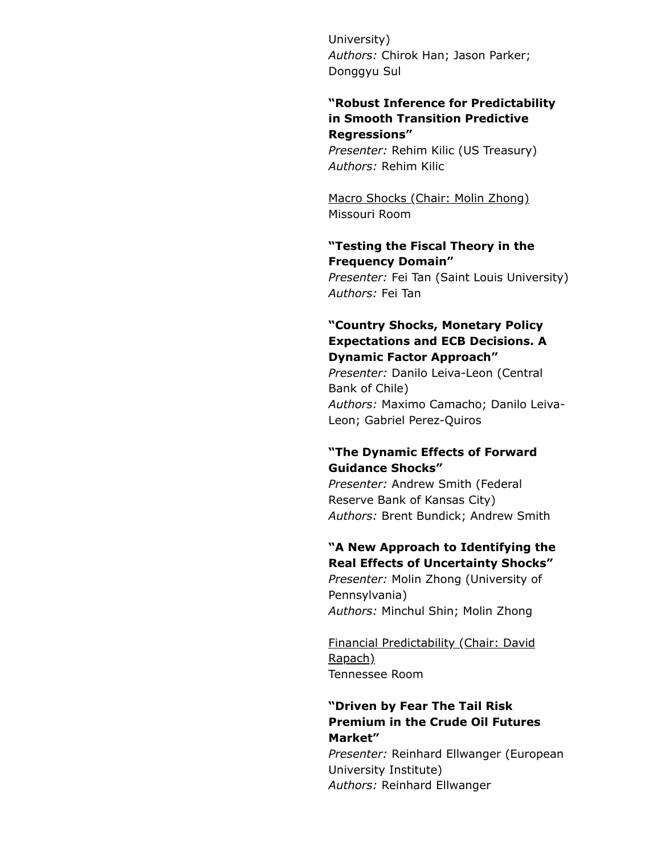University) Authors: Chirok Han; Jason Parker; Donggyu Sul

## "Robust Inference for Predictability in Smooth Transition Predictive Regressions"

Presenter: Rehim Kilic (US Treasury) Authors: Rehim Kilic

Macro Shocks (Chair: Molin Zhong) Missouri Room

#### "Testing the Fiscal Theory in the Frequency Domain"

Presenter: Fei Tan (Saint Louis University) Authors: Fei Tan

## "Country Shocks, Monetary Policy Expectations and ECB Decisions. A Dynamic Factor Approach"

Presenter: Danilo Leiva-Leon (Central Bank of Chile) Authors: Maximo Camacho; Danilo Leiva-Leon; Gabriel Perez-Quiros

## "The Dynamic Effects of Forward Guidance Shocks"

Presenter: Andrew Smith (Federal Reserve Bank of Kansas City) Authors: Brent Bundick; Andrew Smith

## "A New Approach to Identifying the Real Effects of Uncertainty Shocks"

Presenter: Molin Zhong (University of Pennsylvania) Authors: Minchul Shin; Molin Zhong

Financial Predictability (Chair: David Rapach) Tennessee Room

## "Driven by Fear The Tail Risk Premium in the Crude Oil Futures Market"

Presenter: Reinhard Ellwanger (European University Institute) Authors: Reinhard Ellwanger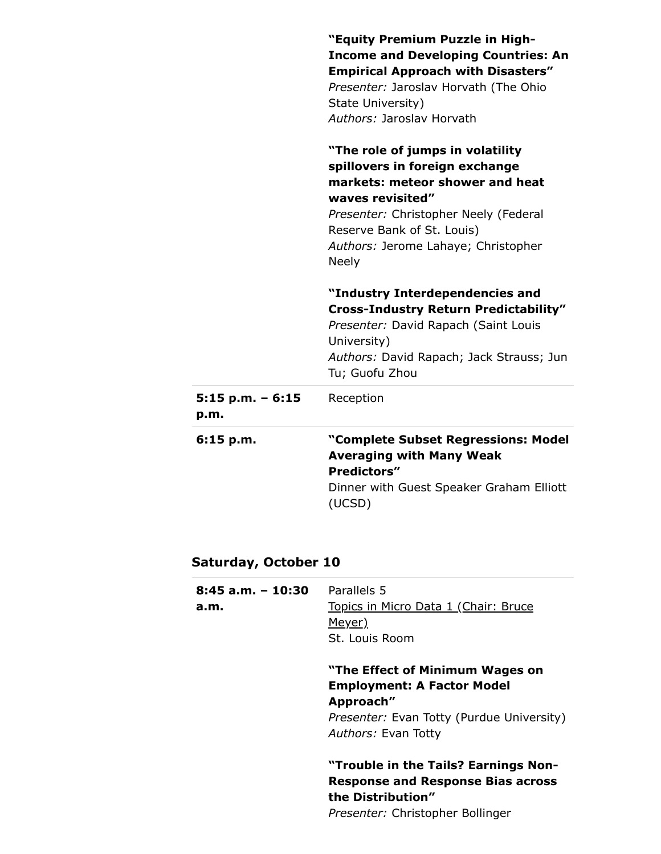|                            | "Equity Premium Puzzle in High-<br><b>Income and Developing Countries: An</b><br><b>Empirical Approach with Disasters"</b><br>Presenter: Jaroslav Horvath (The Ohio<br>State University)<br>Authors: Jaroslav Horvath<br>"The role of jumps in volatility<br>spillovers in foreign exchange<br>markets: meteor shower and heat<br>waves revisited"<br>Presenter: Christopher Neely (Federal<br>Reserve Bank of St. Louis) |
|----------------------------|---------------------------------------------------------------------------------------------------------------------------------------------------------------------------------------------------------------------------------------------------------------------------------------------------------------------------------------------------------------------------------------------------------------------------|
|                            | Authors: Jerome Lahaye; Christopher<br><b>Neely</b>                                                                                                                                                                                                                                                                                                                                                                       |
|                            | "Industry Interdependencies and<br><b>Cross-Industry Return Predictability"</b><br>Presenter: David Rapach (Saint Louis<br>University)<br>Authors: David Rapach; Jack Strauss; Jun<br>Tu; Guofu Zhou                                                                                                                                                                                                                      |
| $5:15$ p.m. - 6:15<br>p.m. | Reception                                                                                                                                                                                                                                                                                                                                                                                                                 |
| 6:15 p.m.                  | "Complete Subset Regressions: Model<br><b>Averaging with Many Weak</b><br><b>Predictors"</b><br>Dinner with Guest Speaker Graham Elliott<br>(UCSD)                                                                                                                                                                                                                                                                        |

## Saturday, October 10

| $8:45$ a.m. $-10:30$<br>a.m. | Parallels 5<br>Topics in Micro Data 1 (Chair: Bruce<br>Meyer)<br>St. Louis Room                                                                       |
|------------------------------|-------------------------------------------------------------------------------------------------------------------------------------------------------|
|                              | "The Effect of Minimum Wages on<br><b>Employment: A Factor Model</b><br>Approach"<br>Presenter: Evan Totty (Purdue University)<br>Authors: Evan Totty |
|                              | "Trouble in the Tails? Earnings Non-<br><b>Response and Response Bias across</b><br>the Distribution"<br>Presenter: Christopher Bollinger             |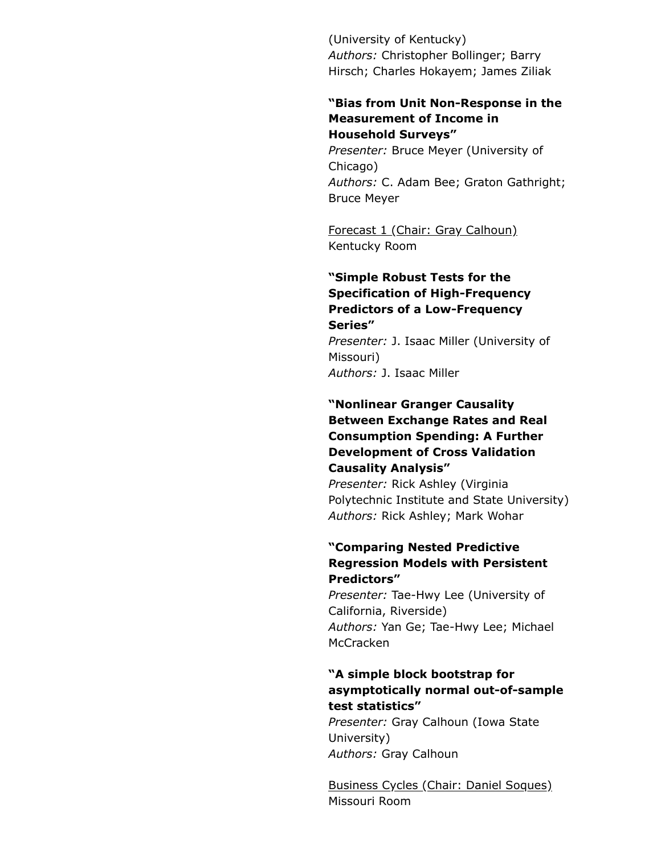(University of Kentucky) Authors: Christopher Bollinger; Barry Hirsch; Charles Hokayem; James Ziliak

#### "Bias from Unit Non-Response in the Measurement of Income in Household Surveys"

Presenter: Bruce Meyer (University of Chicago) Authors: C. Adam Bee; Graton Gathright; Bruce Meyer

Forecast 1 (Chair: Gray Calhoun) Kentucky Room

#### "Simple Robust Tests for the Specification of High-Frequency Predictors of a Low-Frequency Series"

Presenter: J. Isaac Miller (University of Missouri) Authors: J. Isaac Miller

## "Nonlinear Granger Causality Between Exchange Rates and Real Consumption Spending: A Further Development of Cross Validation Causality Analysis"

Presenter: Rick Ashley (Virginia Polytechnic Institute and State University) Authors: Rick Ashley; Mark Wohar

## "Comparing Nested Predictive Regression Models with Persistent Predictors"

Presenter: Tae-Hwy Lee (University of California, Riverside) Authors: Yan Ge; Tae-Hwy Lee; Michael **McCracken** 

## "A simple block bootstrap for asymptotically normal out-of-sample test statistics"

Presenter: Gray Calhoun (Iowa State University) Authors: Gray Calhoun

Business Cycles (Chair: Daniel Soques) Missouri Room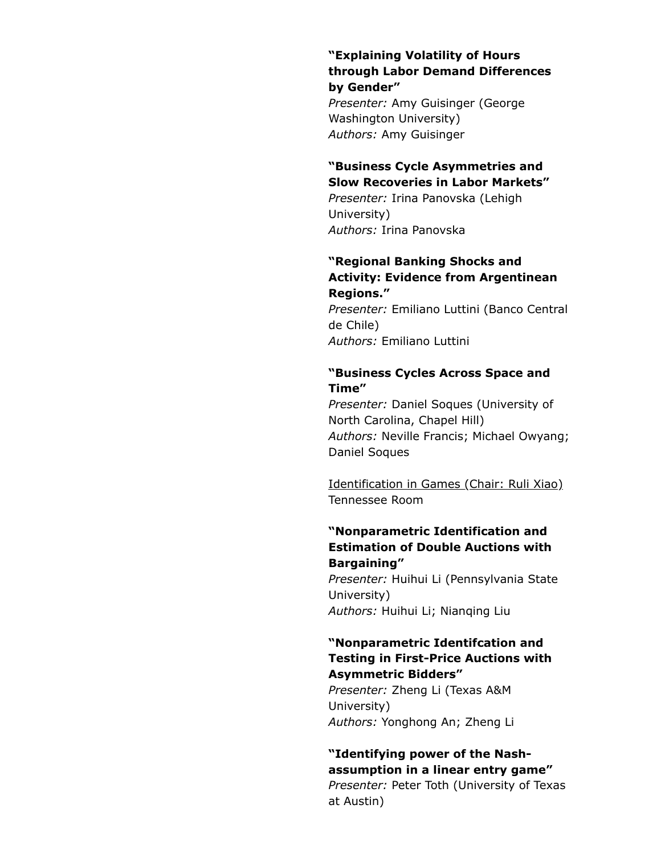### "Explaining Volatility of Hours through Labor Demand Differences by Gender"

Presenter: Amy Guisinger (George Washington University) Authors: Amy Guisinger

### "Business Cycle Asymmetries and Slow Recoveries in Labor Markets"

Presenter: Irina Panovska (Lehigh University) Authors: Irina Panovska

#### "Regional Banking Shocks and Activity: Evidence from Argentinean Regions."

Presenter: Emiliano Luttini (Banco Central de Chile) Authors: Emiliano Luttini

## "Business Cycles Across Space and Time"

Presenter: Daniel Soques (University of North Carolina, Chapel Hill) Authors: Neville Francis; Michael Owyang; Daniel Soques

Identification in Games (Chair: Ruli Xiao) Tennessee Room

## "Nonparametric Identification and Estimation of Double Auctions with Bargaining"

Presenter: Huihui Li (Pennsylvania State University) Authors: Huihui Li; Nianqing Liu

#### "Nonparametric Identifcation and Testing in First-Price Auctions with Asymmetric Bidders"

Presenter: Zheng Li (Texas A&M University) Authors: Yonghong An; Zheng Li

## "Identifying power of the Nashassumption in a linear entry game"

Presenter: Peter Toth (University of Texas at Austin)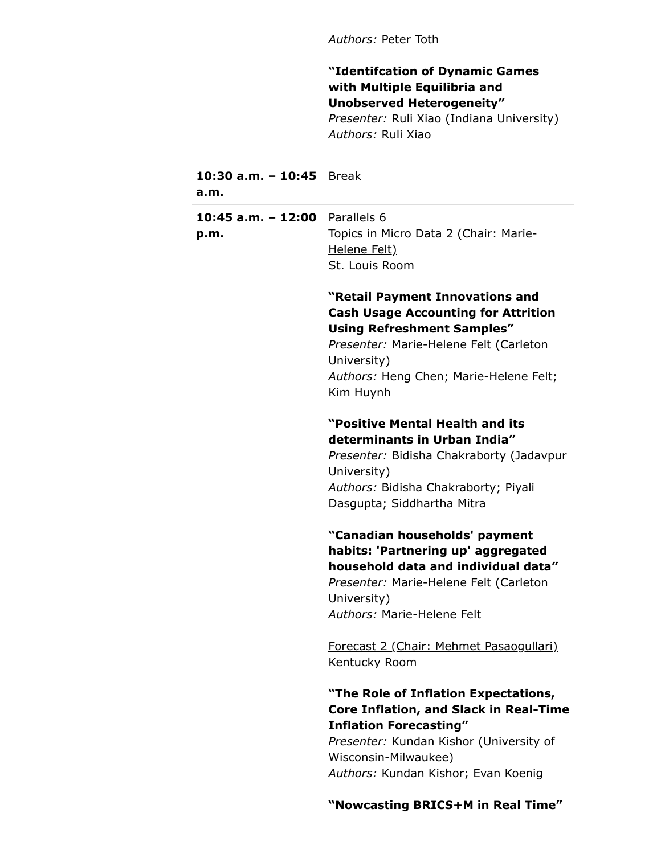Authors: Peter Toth

"Identifcation of Dynamic Games with Multiple Equilibria and Unobserved Heterogeneity"

Presenter: Ruli Xiao (Indiana University) Authors: Ruli Xiao

| 10:30 a.m. - 10:45 Break<br>a.m.         |                                                                                                                                                                                                                                    |
|------------------------------------------|------------------------------------------------------------------------------------------------------------------------------------------------------------------------------------------------------------------------------------|
| 10:45 $a.m. - 12:00$ Parallels 6<br>p.m. | Topics in Micro Data 2 (Chair: Marie-<br>Helene Felt)<br>St. Louis Room                                                                                                                                                            |
|                                          | "Retail Payment Innovations and<br><b>Cash Usage Accounting for Attrition</b><br><b>Using Refreshment Samples"</b><br>Presenter: Marie-Helene Felt (Carleton<br>University)<br>Authors: Heng Chen; Marie-Helene Felt;<br>Kim Huynh |
|                                          | "Positive Mental Health and its<br>determinants in Urban India"<br>Presenter: Bidisha Chakraborty (Jadavpur<br>University)<br>Authors: Bidisha Chakraborty; Piyali<br>Dasgupta; Siddhartha Mitra                                   |
|                                          | "Canadian households' payment<br>habits: 'Partnering up' aggregated<br>household data and individual data"<br>Presenter: Marie-Helene Felt (Carleton<br>University)<br>Authors: Marie-Helene Felt                                  |
|                                          | Forecast 2 (Chair: Mehmet Pasaogullari)<br>Kentucky Room                                                                                                                                                                           |
|                                          | "The Role of Inflation Expectations,<br><b>Core Inflation, and Slack in Real-Time</b><br><b>Inflation Forecasting"</b><br>Presenter: Kundan Kishor (University of<br>Wisconsin-Milwaukee)<br>Authors: Kundan Kishor; Evan Koenig   |
|                                          | "Nowcasting BRICS+M in Real Time"                                                                                                                                                                                                  |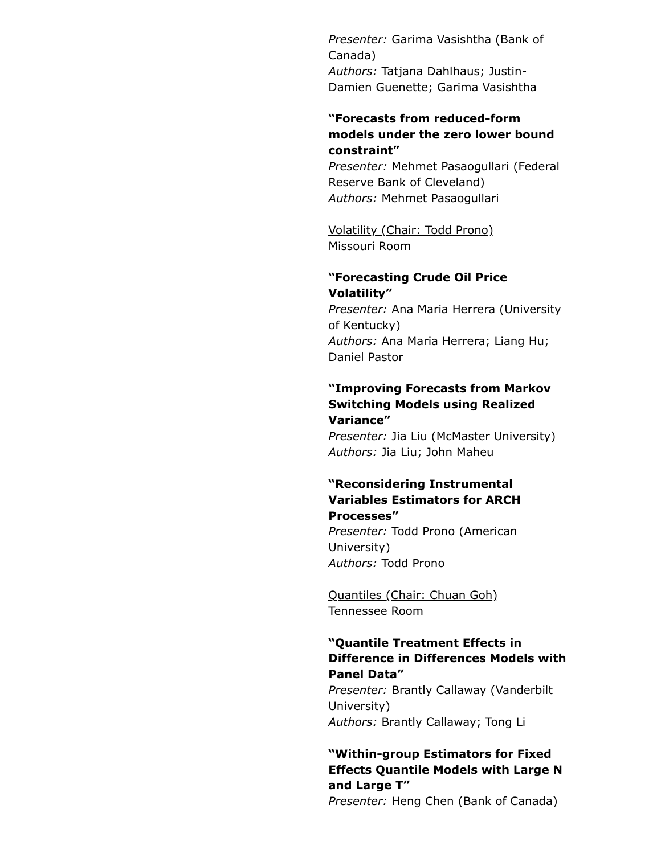Presenter: Garima Vasishtha (Bank of Canada) Authors: Tatjana Dahlhaus; Justin-Damien Guenette; Garima Vasishtha

### "Forecasts from reduced-form models under the zero lower bound constraint"

Presenter: Mehmet Pasaogullari (Federal Reserve Bank of Cleveland) Authors: Mehmet Pasaogullari

Volatility (Chair: Todd Prono) Missouri Room

## "Forecasting Crude Oil Price Volatility"

Presenter: Ana Maria Herrera (University of Kentucky) Authors: Ana Maria Herrera; Liang Hu; Daniel Pastor

#### "Improving Forecasts from Markov Switching Models using Realized Variance"

Presenter: Jia Liu (McMaster University) Authors: Jia Liu; John Maheu

#### "Reconsidering Instrumental Variables Estimators for ARCH Processes"

Presenter: Todd Prono (American University) Authors: Todd Prono

Quantiles (Chair: Chuan Goh) Tennessee Room

## "Quantile Treatment Effects in Difference in Differences Models with Panel Data"

Presenter: Brantly Callaway (Vanderbilt University) Authors: Brantly Callaway; Tong Li

## "Within-group Estimators for Fixed Effects Quantile Models with Large N and Large T"

Presenter: Heng Chen (Bank of Canada)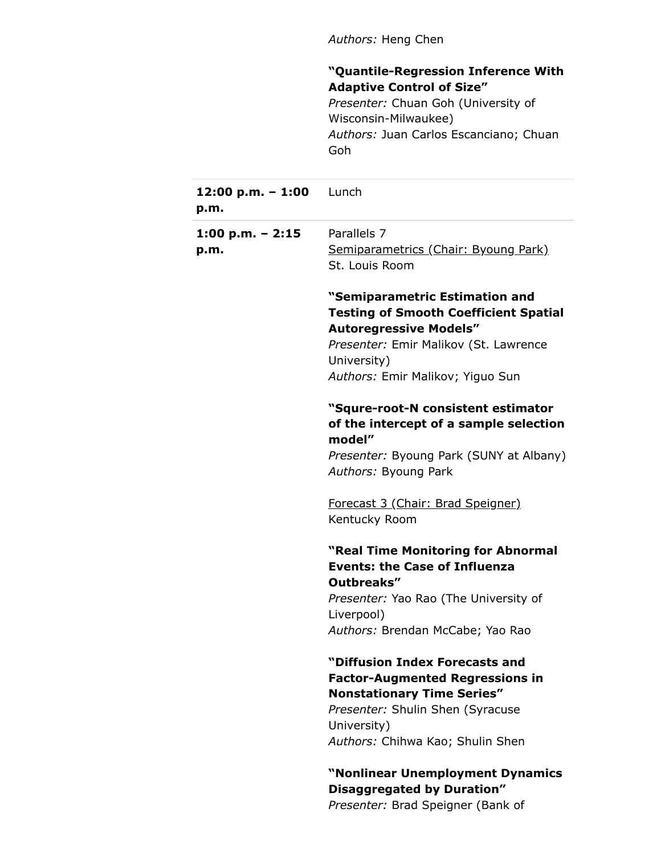Authors: Heng Chen

## "Quantile-Regression Inference With Adaptive Control of Size"

Presenter: Chuan Goh (University of Wisconsin-Milwaukee) Authors: Juan Carlos Escanciano; Chuan Goh

| 12:00 $p.m. - 1:00$ Lunch<br>p.m. |                                                                                                                                                                                                             |
|-----------------------------------|-------------------------------------------------------------------------------------------------------------------------------------------------------------------------------------------------------------|
| 1:00 p.m. $-$ 2:15                | Parallels 7                                                                                                                                                                                                 |
| p.m.                              | Semiparametrics (Chair: Byoung Park)<br>St. Louis Room                                                                                                                                                      |
|                                   | "Semiparametric Estimation and<br><b>Testing of Smooth Coefficient Spatial</b><br><b>Autoregressive Models"</b><br>Presenter: Emir Malikov (St. Lawrence<br>University)<br>Authors: Emir Malikov; Yiguo Sun |
|                                   | "Squre-root-N consistent estimator<br>of the intercept of a sample selection<br>model"                                                                                                                      |
|                                   | Presenter: Byoung Park (SUNY at Albany)<br>Authors: Byoung Park                                                                                                                                             |
|                                   | Forecast 3 (Chair: Brad Speigner)<br>Kentucky Room                                                                                                                                                          |
|                                   | "Real Time Monitoring for Abnormal<br><b>Events: the Case of Influenza</b><br>Outbreaks"                                                                                                                    |
|                                   | Presenter: Yao Rao (The University of<br>Liverpool)                                                                                                                                                         |
|                                   | Authors: Brendan McCabe; Yao Rao                                                                                                                                                                            |
|                                   | "Diffusion Index Forecasts and<br><b>Factor-Augmented Regressions in</b><br><b>Nonstationary Time Series"</b>                                                                                               |
|                                   | Presenter: Shulin Shen (Syracuse                                                                                                                                                                            |
|                                   | University)                                                                                                                                                                                                 |
|                                   | Authors: Chihwa Kao; Shulin Shen                                                                                                                                                                            |
|                                   | "Nonlinear Unemployment Dynamics<br>Disaggregated by Duration"<br>Presenter: Brad Speigner (Bank of                                                                                                         |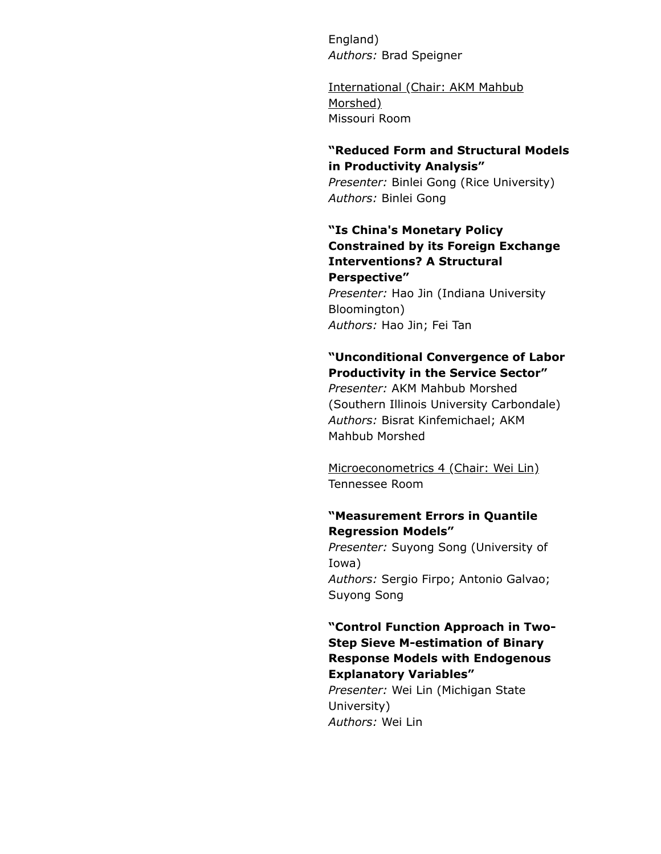England) Authors: Brad Speigner

International (Chair: AKM Mahbub Morshed) Missouri Room

#### "Reduced Form and Structural Models in Productivity Analysis"

Presenter: Binlei Gong (Rice University) Authors: Binlei Gong

## "Is China's Monetary Policy Constrained by its Foreign Exchange Interventions? A Structural Perspective"

Presenter: Hao Jin (Indiana University Bloomington) Authors: Hao Jin; Fei Tan

## "Unconditional Convergence of Labor Productivity in the Service Sector"

Presenter: AKM Mahbub Morshed (Southern Illinois University Carbondale) Authors: Bisrat Kinfemichael; AKM Mahbub Morshed

Microeconometrics 4 (Chair: Wei Lin) Tennessee Room

## "Measurement Errors in Quantile Regression Models"

Presenter: Suyong Song (University of Iowa) Authors: Sergio Firpo; Antonio Galvao; Suyong Song

## "Control Function Approach in Two-Step Sieve M-estimation of Binary Response Models with Endogenous Explanatory Variables" Presenter: Wei Lin (Michigan State

University) Authors: Wei Lin